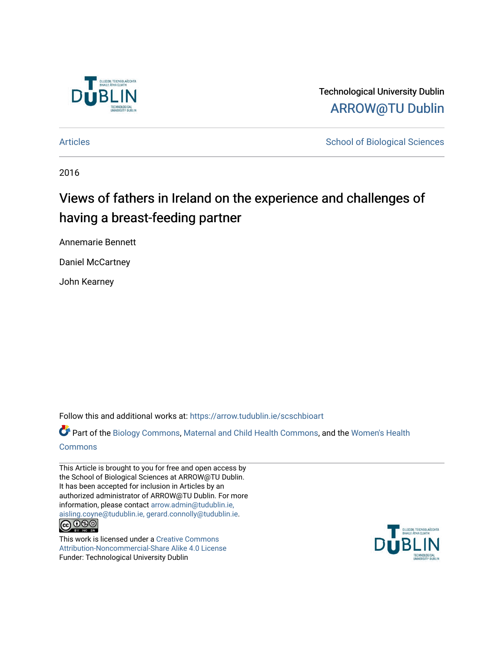

Technological University Dublin [ARROW@TU Dublin](https://arrow.tudublin.ie/) 

[Articles](https://arrow.tudublin.ie/scschbioart) **School of Biological Sciences** School of Biological Sciences

2016

# Views of fathers in Ireland on the experience and challenges of having a breast-feeding partner

Annemarie Bennett

Daniel McCartney

John Kearney

Follow this and additional works at: [https://arrow.tudublin.ie/scschbioart](https://arrow.tudublin.ie/scschbioart?utm_source=arrow.tudublin.ie%2Fscschbioart%2F319&utm_medium=PDF&utm_campaign=PDFCoverPages)

Part of the [Biology Commons,](http://network.bepress.com/hgg/discipline/41?utm_source=arrow.tudublin.ie%2Fscschbioart%2F319&utm_medium=PDF&utm_campaign=PDFCoverPages) [Maternal and Child Health Commons,](http://network.bepress.com/hgg/discipline/745?utm_source=arrow.tudublin.ie%2Fscschbioart%2F319&utm_medium=PDF&utm_campaign=PDFCoverPages) and the [Women's Health](http://network.bepress.com/hgg/discipline/1241?utm_source=arrow.tudublin.ie%2Fscschbioart%2F319&utm_medium=PDF&utm_campaign=PDFCoverPages) **[Commons](http://network.bepress.com/hgg/discipline/1241?utm_source=arrow.tudublin.ie%2Fscschbioart%2F319&utm_medium=PDF&utm_campaign=PDFCoverPages)** 

This Article is brought to you for free and open access by the School of Biological Sciences at ARROW@TU Dublin. It has been accepted for inclusion in Articles by an authorized administrator of ARROW@TU Dublin. For more information, please contact [arrow.admin@tudublin.ie,](mailto:arrow.admin@tudublin.ie,%20aisling.coyne@tudublin.ie,%20gerard.connolly@tudublin.ie)  [aisling.coyne@tudublin.ie, gerard.connolly@tudublin.ie](mailto:arrow.admin@tudublin.ie,%20aisling.coyne@tudublin.ie,%20gerard.connolly@tudublin.ie).<br>(co) 0 SO



This work is licensed under a [Creative Commons](http://creativecommons.org/licenses/by-nc-sa/4.0/) [Attribution-Noncommercial-Share Alike 4.0 License](http://creativecommons.org/licenses/by-nc-sa/4.0/) Funder: Technological University Dublin

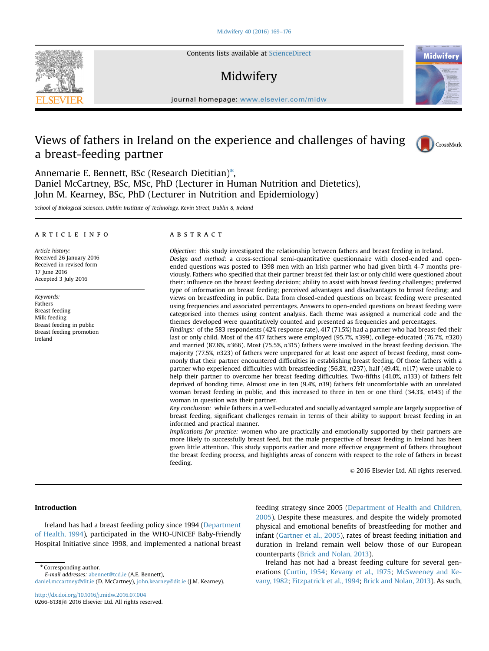Contents lists available at [ScienceDirect](www.sciencedirect.com/science/journal/02666138)

## Midwifery

journal homepage: <www.elsevier.com/midw>

## Views of fathers in Ireland on the experience and challenges of having a breast-feeding partner



**Midwifer** 

Annemarie E. Bennett, BSc (Research Dietitian)\*, Daniel McCartney, BSc, MSc, PhD (Lecturer in Human Nutrition and Dietetics), John M. Kearney, BSc, PhD (Lecturer in Nutrition and Epidemiology)

School of Biological Sciences, Dublin Institute of Technology, Kevin Street, Dublin 8, Ireland

#### article info

Article history: Received 26 January 2016 Received in revised form 17 June 2016 Accepted 3 July 2016

Keywords: Fathers Breast feeding Milk feeding Breast feeding in public Breast feeding promotion Ireland

#### ABSTRACT

Objective: this study investigated the relationship between fathers and breast feeding in Ireland. Design and method: a cross-sectional semi-quantitative questionnaire with closed-ended and openended questions was posted to 1398 men with an Irish partner who had given birth 4–7 months previously. Fathers who specified that their partner breast fed their last or only child were questioned about their: influence on the breast feeding decision; ability to assist with breast feeding challenges; preferred type of information on breast feeding; perceived advantages and disadvantages to breast feeding; and views on breastfeeding in public. Data from closed-ended questions on breast feeding were presented using frequencies and associated percentages. Answers to open-ended questions on breast feeding were categorised into themes using content analysis. Each theme was assigned a numerical code and the themes developed were quantitatively counted and presented as frequencies and percentages.

Findings: of the 583 respondents (42% response rate), 417 (71.5%) had a partner who had breast-fed their last or only child. Most of the 417 fathers were employed (95.7%, n399), college-educated (76.7%, n320) and married (87.8%, n366). Most (75.5%, n315) fathers were involved in the breast feeding decision. The majority (77.5%, n323) of fathers were unprepared for at least one aspect of breast feeding, most commonly that their partner encountered difficulties in establishing breast feeding. Of those fathers with a partner who experienced difficulties with breastfeeding (56.8%, n237), half (49.4%, n117) were unable to help their partner to overcome her breast feeding difficulties. Two-fifths (41.0%, n133) of fathers felt deprived of bonding time. Almost one in ten (9.4%, n39) fathers felt uncomfortable with an unrelated woman breast feeding in public, and this increased to three in ten or one third (34.3%, n143) if the woman in question was their partner.

Key conclusion: while fathers in a well-educated and socially advantaged sample are largely supportive of breast feeding, significant challenges remain in terms of their ability to support breast feeding in an informed and practical manner.

Implications for practice: women who are practically and emotionally supported by their partners are more likely to successfully breast feed, but the male perspective of breast feeding in Ireland has been given little attention. This study supports earlier and more effective engagement of fathers throughout the breast feeding process, and highlights areas of concern with respect to the role of fathers in breast feeding.

 $©$  2016 Elsevier Ltd. All rights reserved.

### Introduction

Ireland has had a breast feeding policy since 1994 ([Department](#page-7-0) [of Health, 1994\)](#page-7-0), participated in the WHO-UNICEF Baby-Friendly Hospital Initiative since 1998, and implemented a national breast

\* Corresponding author.

E-mail addresses: [abennet@tcd.ie](mailto:abennet@tcd.ie) (A.E. Bennett),

[daniel.mccartney@dit.ie](mailto:daniel.mccartney@dit.ie) (D. McCartney), [john.kearney@dit.ie](mailto:john.kearney@dit.ie) (J.M. Kearney).

<http://dx.doi.org/10.1016/j.midw.2016.07.004> 0266-6138/© 2016 Elsevier Ltd. All rights reserved. feeding strategy since 2005 ([Department of Health and Children,](#page-7-0) [2005\)](#page-7-0). Despite these measures, and despite the widely promoted physical and emotional benefits of breastfeeding for mother and infant ([Gartner et al., 2005](#page-8-0)), rates of breast feeding initiation and duration in Ireland remain well below those of our European counterparts ([Brick and Nolan, 2013\)](#page-7-0).

Ireland has not had a breast feeding culture for several generations ([Curtin, 1954;](#page-7-0) [Kevany et al., 1975](#page-8-0); [McSweeney and Ke](#page-8-0)[vany, 1982;](#page-8-0) [Fitzpatrick et al., 1994;](#page-7-0) [Brick and Nolan, 2013\)](#page-7-0). As such,

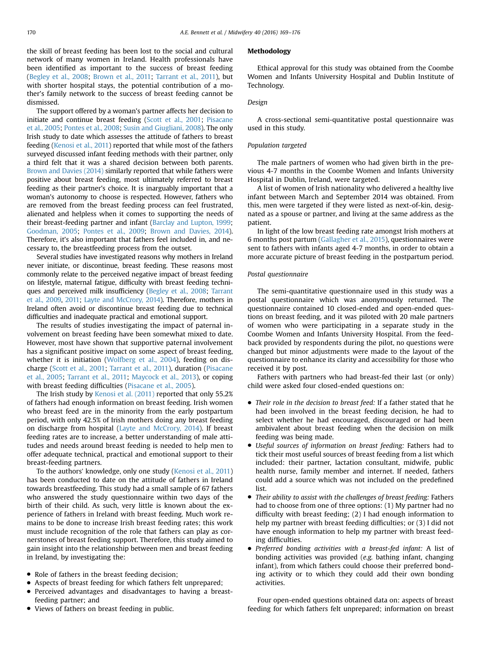the skill of breast feeding has been lost to the social and cultural network of many women in Ireland. Health professionals have been identified as important to the success of breast feeding ([Begley et al., 2008](#page-7-0); [Brown et al., 2011;](#page-7-0) [Tarrant et al., 2011\)](#page-8-0), but with shorter hospital stays, the potential contribution of a mother's family network to the success of breast feeding cannot be dismissed.

The support offered by a woman's partner affects her decision to initiate and continue breast feeding ([Scott et al., 2001](#page-8-0); [Pisacane](#page-8-0) [et al., 2005](#page-8-0); [Pontes et al., 2008;](#page-8-0) [Susin and Giugliani, 2008\)](#page-8-0). The only Irish study to date which assesses the attitude of fathers to breast feeding ([Kenosi et al., 2011](#page-8-0)) reported that while most of the fathers surveyed discussed infant feeding methods with their partner, only a third felt that it was a shared decision between both parents. [Brown and Davies \(2014\)](#page-7-0) similarly reported that while fathers were positive about breast feeding, most ultimately referred to breast feeding as their partner's choice. It is inarguably important that a woman's autonomy to choose is respected. However, fathers who are removed from the breast feeding process can feel frustrated, alienated and helpless when it comes to supporting the needs of their breast-feeding partner and infant ([Barclay and Lupton, 1999;](#page-7-0) [Goodman, 2005](#page-8-0); [Pontes et al., 2009;](#page-8-0) [Brown and Davies, 2014\)](#page-7-0). Therefore, it's also important that fathers feel included in, and necessary to, the breastfeeding process from the outset.

Several studies have investigated reasons why mothers in Ireland never initiate, or discontinue, breast feeding. These reasons most commonly relate to the perceived negative impact of breast feeding on lifestyle, maternal fatigue, difficulty with breast feeding techniques and perceived milk insufficiency [\(Begley et al., 2008](#page-7-0); [Tarrant](#page-8-0) [et al., 2009,](#page-8-0) [2011;](#page-8-0) [Layte and McCrory, 2014](#page-8-0)). Therefore, mothers in Ireland often avoid or discontinue breast feeding due to technical difficulties and inadequate practical and emotional support.

The results of studies investigating the impact of paternal involvement on breast feeding have been somewhat mixed to date. However, most have shown that supportive paternal involvement has a significant positive impact on some aspect of breast feeding, whether it is initiation [\(Wolfberg et al., 2004\)](#page-8-0), feeding on discharge ([Scott et al., 2001;](#page-8-0) [Tarrant et al., 2011](#page-8-0)), duration [\(Pisacane](#page-8-0) [et al., 2005](#page-8-0); [Tarrant et al., 2011;](#page-8-0) [Maycock et al., 2013](#page-8-0)), or coping with breast feeding difficulties ([Pisacane et al., 2005](#page-8-0)).

The Irish study by [Kenosi et al. \(2011\)](#page-8-0) reported that only 55.2% of fathers had enough information on breast feeding. Irish women who breast feed are in the minority from the early postpartum period, with only 42.5% of Irish mothers doing any breast feeding on discharge from hospital [\(Layte and McCrory, 2014\)](#page-8-0). If breast feeding rates are to increase, a better understanding of male attitudes and needs around breast feeding is needed to help men to offer adequate technical, practical and emotional support to their breast-feeding partners.

To the authors' knowledge, only one study [\(Kenosi et al., 2011\)](#page-8-0) has been conducted to date on the attitude of fathers in Ireland towards breastfeeding. This study had a small sample of 67 fathers who answered the study questionnaire within two days of the birth of their child. As such, very little is known about the experience of fathers in Ireland with breast feeding. Much work remains to be done to increase Irish breast feeding rates; this work must include recognition of the role that fathers can play as cornerstones of breast feeding support. Therefore, this study aimed to gain insight into the relationship between men and breast feeding in Ireland, by investigating the:

- Role of fathers in the breast feeding decision;
- Aspects of breast feeding for which fathers felt unprepared;
- Perceived advantages and disadvantages to having a breastfeeding partner; and
- Views of fathers on breast feeding in public.

#### Methodology

Ethical approval for this study was obtained from the Coombe Women and Infants University Hospital and Dublin Institute of Technology.

#### Design

A cross-sectional semi-quantitative postal questionnaire was used in this study.

#### Population targeted

The male partners of women who had given birth in the previous 4-7 months in the Coombe Women and Infants University Hospital in Dublin, Ireland, were targeted.

A list of women of Irish nationality who delivered a healthy live infant between March and September 2014 was obtained. From this, men were targeted if they were listed as next-of-kin, designated as a spouse or partner, and living at the same address as the patient.

In light of the low breast feeding rate amongst Irish mothers at 6 months post partum ([Gallagher et al., 2015](#page-7-0)), questionnaires were sent to fathers with infants aged 4-7 months, in order to obtain a more accurate picture of breast feeding in the postpartum period.

#### Postal questionnaire

The semi-quantitative questionnaire used in this study was a postal questionnaire which was anonymously returned. The questionnaire contained 10 closed-ended and open-ended questions on breast feeding, and it was piloted with 20 male partners of women who were participating in a separate study in the Coombe Women and Infants University Hospital. From the feedback provided by respondents during the pilot, no questions were changed but minor adjustments were made to the layout of the questionnaire to enhance its clarity and accessibility for those who received it by post.

Fathers with partners who had breast-fed their last (or only) child were asked four closed-ended questions on:

- Their role in the decision to breast feed: If a father stated that he had been involved in the breast feeding decision, he had to select whether he had encouraged, discouraged or had been ambivalent about breast feeding when the decision on milk feeding was being made.
- Useful sources of information on breast feeding: Fathers had to tick their most useful sources of breast feeding from a list which included: their partner, lactation consultant, midwife, public health nurse, family member and internet. If needed, fathers could add a source which was not included on the predefined list.
- Their ability to assist with the challenges of breast feeding: Fathers had to choose from one of three options: (1) My partner had no difficulty with breast feeding; (2) I had enough information to help my partner with breast feeding difficulties; or (3) I did not have enough information to help my partner with breast feeding difficulties.
- Preferred bonding activities with a breast-fed infant: A list of bonding activities was provided (e.g. bathing infant, changing infant), from which fathers could choose their preferred bonding activity or to which they could add their own bonding activities.

Four open-ended questions obtained data on: aspects of breast feeding for which fathers felt unprepared; information on breast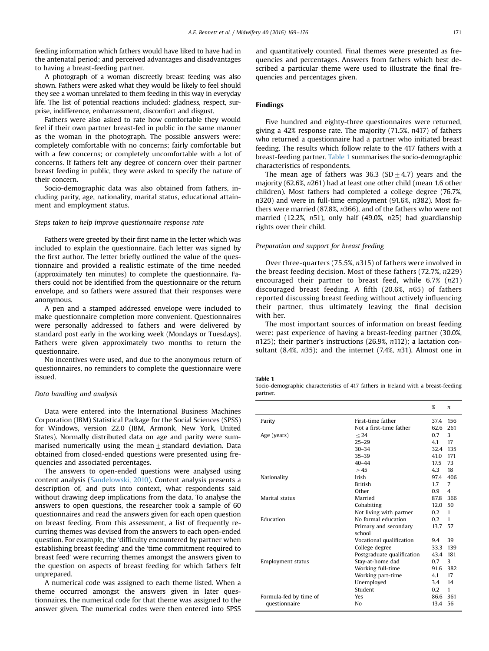feeding information which fathers would have liked to have had in the antenatal period; and perceived advantages and disadvantages to having a breast-feeding partner.

A photograph of a woman discreetly breast feeding was also shown. Fathers were asked what they would be likely to feel should they see a woman unrelated to them feeding in this way in everyday life. The list of potential reactions included: gladness, respect, surprise, indifference, embarrassment, discomfort and disgust.

Fathers were also asked to rate how comfortable they would feel if their own partner breast-fed in public in the same manner as the woman in the photograph. The possible answers were: completely comfortable with no concerns; fairly comfortable but with a few concerns; or completely uncomfortable with a lot of concerns. If fathers felt any degree of concern over their partner breast feeding in public, they were asked to specify the nature of their concern.

Socio-demographic data was also obtained from fathers, including parity, age, nationality, marital status, educational attainment and employment status.

#### Steps taken to help improve questionnaire response rate

Fathers were greeted by their first name in the letter which was included to explain the questionnaire. Each letter was signed by the first author. The letter briefly outlined the value of the questionnaire and provided a realistic estimate of the time needed (approximately ten minutes) to complete the questionnaire. Fathers could not be identified from the questionnaire or the return envelope, and so fathers were assured that their responses were anonymous.

A pen and a stamped addressed envelope were included to make questionnaire completion more convenient. Questionnaires were personally addressed to fathers and were delivered by standard post early in the working week (Mondays or Tuesdays). Fathers were given approximately two months to return the questionnaire.

No incentives were used, and due to the anonymous return of questionnaires, no reminders to complete the questionnaire were issued.

#### Data handling and analysis

Data were entered into the International Business Machines Corporation (IBM) Statistical Package for the Social Sciences (SPSS) for Windows, version 22.0 (IBM, Armonk, New York, United States). Normally distributed data on age and parity were summarised numerically using the mean  $\pm$  standard deviation. Data obtained from closed-ended questions were presented using frequencies and associated percentages.

The answers to open-ended questions were analysed using content analysis [\(Sandelowski, 2010\)](#page-8-0). Content analysis presents a description of, and puts into context, what respondents said without drawing deep implications from the data. To analyse the answers to open questions, the researcher took a sample of 60 questionnaires and read the answers given for each open question on breast feeding. From this assessment, a list of frequently recurring themes was devised from the answers to each open-ended question. For example, the 'difficulty encountered by partner when establishing breast feeding' and the 'time commitment required to breast feed' were recurring themes amongst the answers given to the question on aspects of breast feeding for which fathers felt unprepared.

A numerical code was assigned to each theme listed. When a theme occurred amongst the answers given in later questionnaires, the numerical code for that theme was assigned to the answer given. The numerical codes were then entered into SPSS and quantitatively counted. Final themes were presented as frequencies and percentages. Answers from fathers which best described a particular theme were used to illustrate the final frequencies and percentages given.

#### Findings

Five hundred and eighty-three questionnaires were returned, giving a 42% response rate. The majority (71.5%, n417) of fathers who returned a questionnaire had a partner who initiated breast feeding. The results which follow relate to the 417 fathers with a breast-feeding partner. Table 1 summarises the socio-demographic characteristics of respondents.

The mean age of fathers was 36.3 (SD $\pm$ 4.7) years and the majority (62.6%, n261) had at least one other child (mean 1.6 other children). Most fathers had completed a college degree (76.7%, n320) and were in full-time employment (91.6%, n382). Most fathers were married (87.8%, n366), and of the fathers who were not married (12.2%, n51), only half (49.0%, n25) had guardianship rights over their child.

#### Preparation and support for breast feeding

Over three-quarters (75.5%, n315) of fathers were involved in the breast feeding decision. Most of these fathers (72.7%, n229) encouraged their partner to breast feed, while 6.7% (n21) discouraged breast feeding. A fifth (20.6%, n65) of fathers reported discussing breast feeding without actively influencing their partner, thus ultimately leaving the final decision with her.

The most important sources of information on breast feeding were: past experience of having a breast-feeding partner (30.0%, n125); their partner's instructions (26.9%, n112); a lactation consultant (8.4%, n35); and the internet (7.4%, n31). Almost one in

#### Table 1

Socio-demographic characteristics of 417 fathers in Ireland with a breast-feeding partner.

|                        |                            | %    | $\boldsymbol{n}$ |
|------------------------|----------------------------|------|------------------|
| Parity                 | First-time father          | 37.4 | 156              |
|                        | Not a first-time father    | 62.6 | 261              |
| Age (years)            | < 24                       | 0.7  | 3                |
|                        | $25 - 29$                  | 41   | 17               |
|                        | $30 - 34$                  | 32.4 | 135              |
|                        | $35 - 39$                  | 41.0 | 171              |
|                        | $40 - 44$                  | 17.5 | 73               |
|                        | >45                        | 43   | 18               |
| Nationality            | Irish                      | 97.4 | 406              |
|                        | <b>Rritish</b>             | 17   | 7                |
|                        | Other                      | 09   | 4                |
| Marital status         | Married                    | 878  | 366              |
|                        | Cohabiting                 | 12.0 | 50               |
|                        | Not living with partner    | 0.2  | 1                |
| Education              | No formal education        | 0.2  | 1                |
|                        | Primary and secondary      | 13.7 | 57               |
|                        | school                     |      |                  |
|                        | Vocational qualification   | 9.4  | 39               |
|                        | College degree             | 33.3 | 139              |
|                        | Postgraduate qualification | 43.4 | 181              |
| Employment status      | Stay-at-home dad           | 0.7  | $\mathbf{3}$     |
|                        | Working full-time          | 91.6 | 382              |
|                        | Working part-time          | 4.1  | 17               |
|                        | Unemployed                 | 3.4  | 14               |
|                        | Student                    | 0.2  | 1                |
| Formula-fed by time of | Yes                        | 86.6 | 361              |
| questionnaire          | No                         | 13.4 | 56               |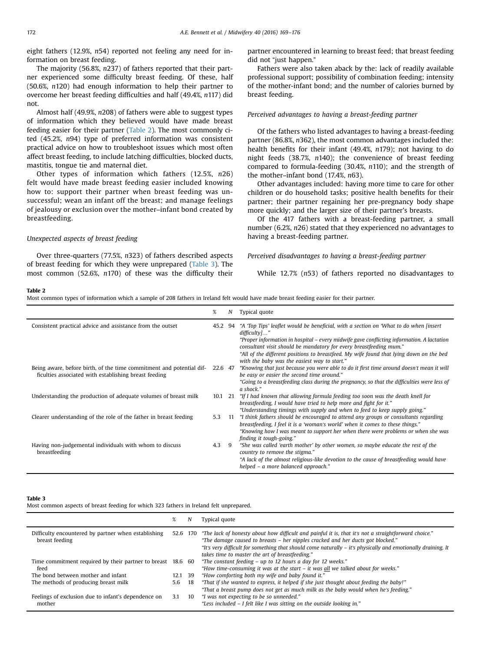eight fathers (12.9%, n54) reported not feeling any need for information on breast feeding.

The majority (56.8%, n237) of fathers reported that their partner experienced some difficulty breast feeding. Of these, half (50.6%, n120) had enough information to help their partner to overcome her breast feeding difficulties and half (49.4%, n117) did not.

Almost half (49.9%, n208) of fathers were able to suggest types of information which they believed would have made breast feeding easier for their partner (Table 2). The most commonly cited (45.2%, n94) type of preferred information was consistent practical advice on how to troubleshoot issues which most often affect breast feeding, to include latching difficulties, blocked ducts, mastitis, tongue tie and maternal diet.

Other types of information which fathers (12.5%, n26) felt would have made breast feeding easier included knowing how to: support their partner when breast feeding was unsuccessful; wean an infant off the breast; and manage feelings of jealousy or exclusion over the mother–infant bond created by breastfeeding.

#### Unexpected aspects of breast feeding

Over three-quarters (77.5%, n323) of fathers described aspects of breast feeding for which they were unprepared (Table 3). The most common (52.6%, n170) of these was the difficulty their partner encountered in learning to breast feed; that breast feeding did not "just happen."

Fathers were also taken aback by the: lack of readily available professional support; possibility of combination feeding; intensity of the mother-infant bond; and the number of calories burned by breast feeding.

#### Perceived advantages to having a breast-feeding partner

Of the fathers who listed advantages to having a breast-feeding partner (86.8%, n362), the most common advantages included the: health benefits for their infant (49.4%, n179); not having to do night feeds (38.7%, n140); the convenience of breast feeding compared to formula-feeding (30.4%, n110); and the strength of the mother–infant bond (17.4%, n63).

Other advantages included: having more time to care for other children or do household tasks; positive health benefits for their partner; their partner regaining her pre-pregnancy body shape more quickly; and the larger size of their partner's breasts.

Of the 417 fathers with a breast-feeding partner, a small number (6.2%, n26) stated that they experienced no advantages to having a breast-feeding partner.

Perceived disadvantages to having a breast-feeding partner

While 12.7% (n53) of fathers reported no disadvantages to

#### Table 2

Most common types of information which a sample of 208 fathers in Ireland felt would have made breast feeding easier for their partner.

|                                                                                                                               | %       | N    | Typical quote                                                                                                                                                                                                                                                                                                                                                                                                          |
|-------------------------------------------------------------------------------------------------------------------------------|---------|------|------------------------------------------------------------------------------------------------------------------------------------------------------------------------------------------------------------------------------------------------------------------------------------------------------------------------------------------------------------------------------------------------------------------------|
| Consistent practical advice and assistance from the outset                                                                    | 45.2    | 94   | "A 'Top Tips' leaflet would be beneficial, with a section on 'What to do when [insert<br>$difficultyl$ "<br>"Proper information in hospital – every midwife gave conflicting information. A lactation<br>consultant visit should be mandatory for every breastfeeding mum."<br>"All of the different positions to breastfeed. My wife found that lying down on the bed<br>with the baby was the easiest way to start." |
| Being aware, before birth, of the time commitment and potential dif-<br>ficulties associated with establishing breast feeding | 22.6 47 |      | "Knowing that just because you were able to do it first time around doesn't mean it will<br>be easy or easier the second time around."<br>"Going to a breastfeeding class during the pregnancy, so that the difficulties were less of<br>a shock."                                                                                                                                                                     |
| Understanding the production of adequate volumes of breast milk                                                               | 10.1 21 |      | "If I had known that allowing formula feeding too soon was the death knell for<br>breastfeeding, I would have tried to help more and fight for it."<br>"Understanding timings with supply and when to feed to keep supply going."                                                                                                                                                                                      |
| Clearer understanding of the role of the father in breast feeding                                                             | 5.3     | - 11 | "I think fathers should be encouraged to attend any groups or consultants regarding<br>breastfeeding, I feel it is a 'woman's world' when it comes to these things."<br>"Knowing how I was meant to support her when there were problems or when she was<br>finding it tough-going."                                                                                                                                   |
| Having non-judgemental individuals with whom to discuss<br>breastfeeding                                                      | 4.3     | 9    | "She was called 'earth mother' by other women, so maybe educate the rest of the<br>country to remove the stigma."<br>"A lack of the almost religious-like devotion to the cause of breastfeeding would have<br>helped – a more balanced approach."                                                                                                                                                                     |

#### Table 3

Most common aspects of breast feeding for which 323 fathers in Ireland felt unprepared.

|                                                                       | %    | N        | Typical quote                                                                                                                                                                                                                                                                                                                                              |
|-----------------------------------------------------------------------|------|----------|------------------------------------------------------------------------------------------------------------------------------------------------------------------------------------------------------------------------------------------------------------------------------------------------------------------------------------------------------------|
| Difficulty encountered by partner when establishing<br>breast feeding |      | 52.6 170 | "The lack of honesty about how difficult and painful it is, that it's not a straightforward choice."<br>"The damage caused to breasts – her nipples cracked and her ducts got blocked."<br>"It's very difficult for something that should come naturally – it's physically and emotionally draining. It<br>takes time to master the art of breastfeeding." |
| Time commitment required by their partner to breast 18.6 60<br>feed   |      |          | "The constant feeding - up to 12 hours a day for 12 weeks."<br>"How time-consuming it was at the start $-$ it was all we talked about for weeks."                                                                                                                                                                                                          |
| The bond between mother and infant                                    | 12.1 | 39       | "How comforting both my wife and baby found it."                                                                                                                                                                                                                                                                                                           |
| The methods of producing breast milk                                  | 5.6  | 18       | "That if she wanted to express, it helped if she just thought about feeding the baby!"<br>"That a breast pump does not get as much milk as the baby would when he's feeding."                                                                                                                                                                              |
| Feelings of exclusion due to infant's dependence on<br>mother         | 3.1  | 10       | "I was not expecting to be so unneeded."<br>"Less included - I felt like I was sitting on the outside looking in."                                                                                                                                                                                                                                         |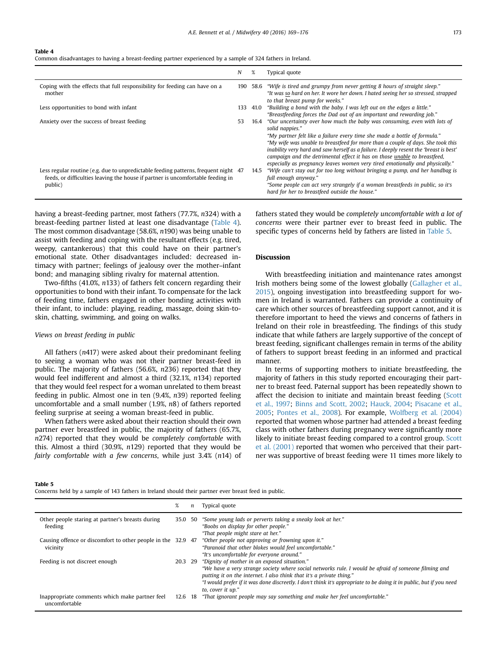Table 4

Common disadvantages to having a breast-feeding partner experienced by a sample of 324 fathers in Ireland.

|                                                                                                                                                                                   | N   | $\%$ | Typical quote                                                                                                                                                                                                                                                                                                                                                                                                       |
|-----------------------------------------------------------------------------------------------------------------------------------------------------------------------------------|-----|------|---------------------------------------------------------------------------------------------------------------------------------------------------------------------------------------------------------------------------------------------------------------------------------------------------------------------------------------------------------------------------------------------------------------------|
| Coping with the effects that full responsibility for feeding can have on a<br>mother                                                                                              | 190 |      | 58.6 "Wife is tired and grumpy from never getting 8 hours of straight sleep."<br>"It was so hard on her. It wore her down. I hated seeing her so stressed, strapped<br>to that breast pump for weeks."                                                                                                                                                                                                              |
| Less opportunities to bond with infant                                                                                                                                            | 133 | 41.0 | "Building a bond with the baby. I was left out on the edges a little."<br>"Breastfeeding forces the Dad out of an important and rewarding job."                                                                                                                                                                                                                                                                     |
| Anxiety over the success of breast feeding                                                                                                                                        | 53  | 16.4 | "Our uncertainty over how much the baby was consuming, even with lots of<br>solid nappies."                                                                                                                                                                                                                                                                                                                         |
|                                                                                                                                                                                   |     |      | "My partner felt like a failure every time she made a bottle of formula."<br>"My wife was unable to breastfeed for more than a couple of days. She took this<br>inability very hard and saw herself as a failure. I deeply resent the 'breast is best'<br>campaign and the detrimental effect it has on those unable to breastfeed,<br>especially as pregnancy leaves women very tired emotionally and physically." |
| Less regular routine (e.g. due to unpredictable feeding patterns, frequent night 47<br>feeds, or difficulties leaving the house if partner is uncomfortable feeding in<br>public) |     | 14.5 | "Wife can't stay out for too long without bringing a pump, and her handbag is<br>full enough anyway."<br>"Some people can act very strangely if a woman breastfeeds in public, so it's<br>hard for her to breastfeed outside the house."                                                                                                                                                                            |

having a breast-feeding partner, most fathers (77.7%, n324) with a breast-feeding partner listed at least one disadvantage (Table 4). The most common disadvantage (58.6%, n190) was being unable to assist with feeding and coping with the resultant effects (e.g. tired, weepy, cantankerous) that this could have on their partner's emotional state. Other disadvantages included: decreased intimacy with partner; feelings of jealousy over the mother–infant bond; and managing sibling rivalry for maternal attention.

Two-fifths (41.0%, n133) of fathers felt concern regarding their opportunities to bond with their infant. To compensate for the lack of feeding time, fathers engaged in other bonding activities with their infant, to include: playing, reading, massage, doing skin-toskin, chatting, swimming, and going on walks.

#### Views on breast feeding in public

All fathers (n417) were asked about their predominant feeling to seeing a woman who was not their partner breast-feed in public. The majority of fathers (56.6%, n236) reported that they would feel indifferent and almost a third (32.1%, n134) reported that they would feel respect for a woman unrelated to them breast feeding in public. Almost one in ten (9.4%, n39) reported feeling uncomfortable and a small number (1.9%, n8) of fathers reported feeling surprise at seeing a woman breast-feed in public.

When fathers were asked about their reaction should their own partner ever breastfeed in public, the majority of fathers (65.7%, n274) reported that they would be completely comfortable with this. Almost a third (30.9%, n129) reported that they would be fairly comfortable with a few concerns, while just 3.4% (n14) of fathers stated they would be completely uncomfortable with a lot of concerns were their partner ever to breast feed in public. The specific types of concerns held by fathers are listed in Table 5.

#### Discussion

With breastfeeding initiation and maintenance rates amongst Irish mothers being some of the lowest globally ([Gallagher et al.,](#page-7-0) [2015\)](#page-7-0), ongoing investigation into breastfeeding support for women in Ireland is warranted. Fathers can provide a continuity of care which other sources of breastfeeding support cannot, and it is therefore important to heed the views and concerns of fathers in Ireland on their role in breastfeeding. The findings of this study indicate that while fathers are largely supportive of the concept of breast feeding, significant challenges remain in terms of the ability of fathers to support breast feeding in an informed and practical manner.

In terms of supporting mothers to initiate breastfeeding, the majority of fathers in this study reported encouraging their partner to breast feed. Paternal support has been repeatedly shown to affect the decision to initiate and maintain breast feeding ([Scott](#page-8-0) [et al., 1997;](#page-8-0) [Binns and Scott, 2002](#page-7-0); [Hauck, 2004;](#page-8-0) [Pisacane et al.,](#page-8-0) [2005;](#page-8-0) [Pontes et al., 2008\)](#page-8-0). For example, [Wolfberg et al. \(2004\)](#page-8-0) reported that women whose partner had attended a breast feeding class with other fathers during pregnancy were significantly more likely to initiate breast feeding compared to a control group. [Scott](#page-8-0) [et al. \(2001\)](#page-8-0) reported that women who perceived that their partner was supportive of breast feeding were 11 times more likely to

Table 5

Concerns held by a sample of 143 fathers in Ireland should their partner ever breast feed in public.

|                                                                          | %       | n   | Typical quote                                                                                                                                                                                                                                                                                                                                                            |
|--------------------------------------------------------------------------|---------|-----|--------------------------------------------------------------------------------------------------------------------------------------------------------------------------------------------------------------------------------------------------------------------------------------------------------------------------------------------------------------------------|
| Other people staring at partner's breasts during<br>feeding              | 35.0 50 |     | "Some young lads or perverts taking a sneaky look at her."<br>"Boobs on display for other people."<br>"That people might stare at her."                                                                                                                                                                                                                                  |
| Causing offence or discomfort to other people in the 32.9 47<br>vicinity |         |     | "Other people not approving or frowning upon it."<br>"Paranoid that other blokes would feel uncomfortable."<br>"It's uncomfortable for everyone around."                                                                                                                                                                                                                 |
| Feeding is not discreet enough                                           | 20.3    | 29  | "Dignity of mother in an exposed situation."<br>"We have a very strange society where social networks rule. I would be afraid of someone filming and<br>putting it on the internet. I also think that it's a private thing."<br>"I would prefer if it was done discreetly. I don't think it's appropriate to be doing it in public, but if you need<br>to, cover it up." |
| Inappropriate comments which make partner feel<br>uncomfortable          | 12.6    | -18 | "That ignorant people may say something and make her feel uncomfortable."                                                                                                                                                                                                                                                                                                |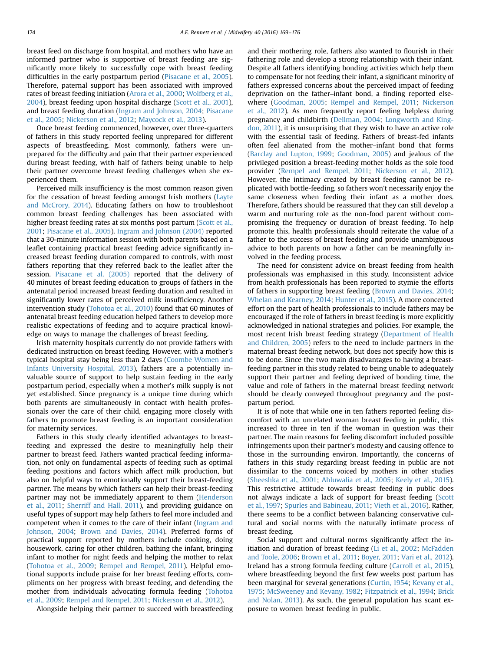breast feed on discharge from hospital, and mothers who have an informed partner who is supportive of breast feeding are significantly more likely to successfully cope with breast feeding difficulties in the early postpartum period ([Pisacane et al., 2005\)](#page-8-0). Therefore, paternal support has been associated with improved rates of breast feeding initiation ([Arora et al., 2000](#page-7-0); [Wolfberg et al.,](#page-8-0) [2004](#page-8-0)), breast feeding upon hospital discharge ([Scott et al., 2001\)](#page-8-0), and breast feeding duration ([Ingram and Johnson, 2004;](#page-8-0) [Pisacane](#page-8-0) [et al., 2005](#page-8-0); [Nickerson et al., 2012](#page-8-0); [Maycock et al., 2013](#page-8-0)).

Once breast feeding commenced, however, over three-quarters of fathers in this study reported feeling unprepared for different aspects of breastfeeding. Most commonly, fathers were unprepared for the difficulty and pain that their partner experienced during breast feeding, with half of fathers being unable to help their partner overcome breast feeding challenges when she experienced them.

Perceived milk insufficiency is the most common reason given for the cessation of breast feeding amongst Irish mothers ([Layte](#page-8-0) [and McCrory, 2014](#page-8-0)). Educating fathers on how to troubleshoot common breast feeding challenges has been associated with higher breast feeding rates at six months post partum ([Scott et al.,](#page-8-0) [2001;](#page-8-0) [Pisacane et al., 2005](#page-8-0)). [Ingram and Johnson \(2004\)](#page-8-0) reported that a 30-minute information session with both parents based on a leaflet containing practical breast feeding advice significantly increased breast feeding duration compared to controls, with most fathers reporting that they referred back to the leaflet after the session. [Pisacane et al. \(2005\)](#page-8-0) reported that the delivery of 40 minutes of breast feeding education to groups of fathers in the antenatal period increased breast feeding duration and resulted in significantly lower rates of perceived milk insufficiency. Another intervention study ([Tohotoa et al., 2010](#page-8-0)) found that 60 minutes of antenatal breast feeding education helped fathers to develop more realistic expectations of feeding and to acquire practical knowledge on ways to manage the challenges of breast feeding.

Irish maternity hospitals currently do not provide fathers with dedicated instruction on breast feeding. However, with a mother's typical hospital stay being less than 2 days [\(Coombe Women and](#page-7-0) [Infants University Hospital, 2013\)](#page-7-0), fathers are a potentially invaluable source of support to help sustain feeding in the early postpartum period, especially when a mother's milk supply is not yet established. Since pregnancy is a unique time during which both parents are simultaneously in contact with health professionals over the care of their child, engaging more closely with fathers to promote breast feeding is an important consideration for maternity services.

Fathers in this study clearly identified advantages to breastfeeding and expressed the desire to meaningfully help their partner to breast feed. Fathers wanted practical feeding information, not only on fundamental aspects of feeding such as optimal feeding positions and factors which affect milk production, but also on helpful ways to emotionally support their breast-feeding partner. The means by which fathers can help their breast-feeding partner may not be immediately apparent to them [\(Henderson](#page-8-0) [et al., 2011;](#page-8-0) [Sherriff and Hall, 2011\)](#page-8-0), and providing guidance on useful types of support may help fathers to feel more included and competent when it comes to the care of their infant ([Ingram and](#page-8-0) [Johnson, 2004;](#page-8-0) [Brown and Davies, 2014](#page-7-0)). Preferred forms of practical support reported by mothers include cooking, doing housework, caring for other children, bathing the infant, bringing infant to mother for night feeds and helping the mother to relax ([Tohotoa et al., 2009](#page-8-0); [Rempel and Rempel, 2011](#page-8-0)). Helpful emotional supports include praise for her breast feeding efforts, compliments on her progress with breast feeding, and defending the mother from individuals advocating formula feeding ([Tohotoa](#page-8-0) [et al., 2009](#page-8-0); [Rempel and Rempel, 2011](#page-8-0); [Nickerson et al., 2012](#page-8-0)).

Alongside helping their partner to succeed with breastfeeding

and their mothering role, fathers also wanted to flourish in their fathering role and develop a strong relationship with their infant. Despite all fathers identifying bonding activities which help them to compensate for not feeding their infant, a significant minority of fathers expressed concerns about the perceived impact of feeding deprivation on the father–infant bond, a finding reported elsewhere [\(Goodman, 2005;](#page-8-0) [Rempel and Rempel, 2011;](#page-8-0) [Nickerson](#page-8-0) [et al., 2012\)](#page-8-0). As men frequently report feeling helpless during pregnancy and childbirth [\(Dellman, 2004](#page-7-0); [Longworth and King](#page-8-0)[don, 2011\)](#page-8-0), it is unsurprising that they wish to have an active role with the essential task of feeding. Fathers of breast-fed infants often feel alienated from the mother–infant bond that forms ([Barclay and Lupton, 1999](#page-7-0); [Goodman, 2005](#page-8-0)) and jealous of the privileged position a breast-feeding mother holds as the sole food provider [\(Rempel and Rempel, 2011](#page-8-0); [Nickerson et al., 2012\)](#page-8-0). However, the intimacy created by breast feeding cannot be replicated with bottle-feeding, so fathers won't necessarily enjoy the same closeness when feeding their infant as a mother does. Therefore, fathers should be reassured that they can still develop a warm and nurturing role as the non-food parent without compromising the frequency or duration of breast feeding. To help promote this, health professionals should reiterate the value of a father to the success of breast feeding and provide unambiguous advice to both parents on how a father can be meaningfully involved in the feeding process.

The need for consistent advice on breast feeding from health professionals was emphasised in this study. Inconsistent advice from health professionals has been reported to stymie the efforts of fathers in supporting breast feeding ([Brown and Davies, 2014;](#page-7-0) [Whelan and Kearney, 2014](#page-8-0); [Hunter et al., 2015](#page-8-0)). A more concerted effort on the part of health professionals to include fathers may be encouraged if the role of fathers in breast feeding is more explicitly acknowledged in national strategies and policies. For example, the most recent Irish breast feeding strategy ([Department of Health](#page-7-0) [and Children, 2005](#page-7-0)) refers to the need to include partners in the maternal breast feeding network, but does not specify how this is to be done. Since the two main disadvantages to having a breastfeeding partner in this study related to being unable to adequately support their partner and feeling deprived of bonding time, the value and role of fathers in the maternal breast feeding network should be clearly conveyed throughout pregnancy and the postpartum period.

It is of note that while one in ten fathers reported feeling discomfort with an unrelated woman breast feeding in public, this increased to three in ten if the woman in question was their partner. The main reasons for feeling discomfort included possible infringements upon their partner's modesty and causing offence to those in the surrounding environ. Importantly, the concerns of fathers in this study regarding breast feeding in public are not dissimilar to the concerns voiced by mothers in other studies ([Sheeshka et al., 2001](#page-8-0); [Ahluwalia et al., 2005](#page-7-0); [Keely et al., 2015\)](#page-8-0). This restrictive attitude towards breast feeding in public does not always indicate a lack of support for breast feeding ([Scott](#page-8-0) [et al., 1997;](#page-8-0) [Spurles and Babineau, 2011;](#page-8-0) [Vieth et al., 2016\)](#page-8-0). Rather, there seems to be a conflict between balancing conservative cultural and social norms with the naturally intimate process of breast feeding.

Social support and cultural norms significantly affect the initiation and duration of breast feeding [\(Li et al., 2002](#page-8-0); [McFadden](#page-8-0) [and Toole, 2006](#page-8-0); [Brown et al., 2011](#page-7-0); [Boyer, 2011;](#page-7-0) [Vari et al., 2012\)](#page-8-0). Ireland has a strong formula feeding culture ([Carroll et al., 2015\)](#page-7-0), where breastfeeding beyond the first few weeks post partum has been marginal for several generations [\(Curtin, 1954](#page-7-0); [Kevany et al.,](#page-8-0) [1975;](#page-8-0) [McSweeney and Kevany, 1982](#page-8-0); [Fitzpatrick et al., 1994](#page-7-0); [Brick](#page-7-0) [and Nolan, 2013](#page-7-0)). As such, the general population has scant exposure to women breast feeding in public.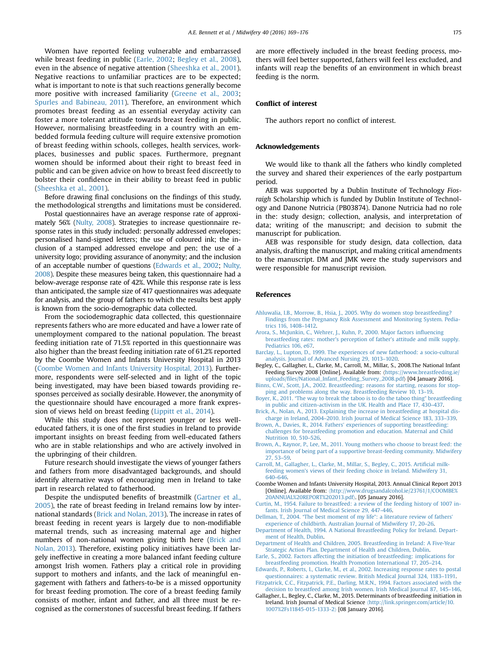<span id="page-7-0"></span>Women have reported feeling vulnerable and embarrassed while breast feeding in public (Earle, 2002; Begley et al., 2008), even in the absence of negative attention ([Sheeshka et al., 2001\)](#page-8-0). Negative reactions to unfamiliar practices are to be expected; what is important to note is that such reactions generally become more positive with increased familiarity [\(Greene et al., 2003;](#page-8-0) [Spurles and Babineau, 2011\)](#page-8-0). Therefore, an environment which promotes breast feeding as an essential everyday activity can foster a more tolerant attitude towards breast feeding in public. However, normalising breastfeeding in a country with an embedded formula feeding culture will require extensive promotion of breast feeding within schools, colleges, health services, workplaces, businesses and public spaces. Furthermore, pregnant women should be informed about their right to breast feed in public and can be given advice on how to breast feed discreetly to bolster their confidence in their ability to breast feed in public ([Sheeshka et al., 2001\)](#page-8-0).

Before drawing final conclusions on the findings of this study, the methodological strengths and limitations must be considered.

Postal questionnaires have an average response rate of approximately 56% [\(Nulty, 2008](#page-8-0)). Strategies to increase questionnaire response rates in this study included: personally addressed envelopes; personalised hand-signed letters; the use of coloured ink; the inclusion of a stamped addressed envelope and pen; the use of a university logo; providing assurance of anonymity; and the inclusion of an acceptable number of questions (Edwards et al., 2002; [Nulty,](#page-8-0) [2008](#page-8-0)). Despite these measures being taken, this questionnaire had a below-average response rate of 42%. While this response rate is less than anticipated, the sample size of 417 questionnaires was adequate for analysis, and the group of fathers to which the results best apply is known from the socio-demographic data collected.

From the sociodemographic data collected, this questionnaire represents fathers who are more educated and have a lower rate of unemployment compared to the national population. The breast feeding initiation rate of 71.5% reported in this questionnaire was also higher than the breast feeding initiation rate of 61.2% reported by the Coombe Women and Infants University Hospital in 2013 (Coombe Women and Infants University Hospital, 2013). Furthermore, respondents were self-selected and in light of the topic being investigated, may have been biased towards providing responses perceived as socially desirable. However, the anonymity of the questionnaire should have encouraged a more frank expression of views held on breast feeding ([Lippitt et al., 2014\)](#page-8-0).

While this study does not represent younger or less welleducated fathers, it is one of the first studies in Ireland to provide important insights on breast feeding from well-educated fathers who are in stable relationships and who are actively involved in the upbringing of their children.

Future research should investigate the views of younger fathers and fathers from more disadvantaged backgrounds, and should identify alternative ways of encouraging men in Ireland to take part in research related to fatherhood.

Despite the undisputed benefits of breastmilk ([Gartner et al.,](#page-8-0) [2005\)](#page-8-0), the rate of breast feeding in Ireland remains low by international standards (Brick and Nolan, 2013). The increase in rates of breast feeding in recent years is largely due to non-modifiable maternal trends, such as increasing maternal age and higher numbers of non-national women giving birth here (Brick and Nolan, 2013). Therefore, existing policy initiatives have been largely ineffective in creating a more balanced infant feeding culture amongst Irish women. Fathers play a critical role in providing support to mothers and infants, and the lack of meaningful engagement with fathers and fathers-to-be is a missed opportunity for breast feeding promotion. The core of a breast feeding family consists of mother, infant and father, and all three must be recognised as the cornerstones of successful breast feeding. If fathers

are more effectively included in the breast feeding process, mothers will feel better supported, fathers will feel less excluded, and infants will reap the benefits of an environment in which breast feeding is the norm.

#### Conflict of interest

The authors report no conflict of interest.

#### Acknowledgements

We would like to thank all the fathers who kindly completed the survey and shared their experiences of the early postpartum period.

AEB was supported by a Dublin Institute of Technology Fiosraigh Scholarship which is funded by Dublin Institute of Technology and Danone Nutricia (PB03874). Danone Nutricia had no role in the: study design; collection, analysis, and interpretation of data; writing of the manuscript; and decision to submit the manuscript for publication.

AEB was responsible for study design, data collection, data analysis, drafting the manuscript, and making critical amendments to the manuscript. DM and JMK were the study supervisors and were responsible for manuscript revision.

#### References

- [Ahluwalia, I.B., Morrow, B., Hsia, J., 2005. Why do women stop breastfeeding?](http://refhub.elsevier.com/S0266-6138(16)30112-7/sbref1) [Findings from the Pregnancy Risk Assessment and Monitoring System. Pedia](http://refhub.elsevier.com/S0266-6138(16)30112-7/sbref1)[trics 116, 1408](http://refhub.elsevier.com/S0266-6138(16)30112-7/sbref1)–1412.
- [Arora, S., McJunkin, C., Wehrer, J., Kuhn, P., 2000. Major factors in](http://refhub.elsevier.com/S0266-6138(16)30112-7/sbref2)fluencing [breastfeeding rates: mother's perception of father's attitude and milk supply.](http://refhub.elsevier.com/S0266-6138(16)30112-7/sbref2) [Pediatrics 106, e67.](http://refhub.elsevier.com/S0266-6138(16)30112-7/sbref2)
- [Barclay, L., Lupton, D., 1999. The experiences of new fatherhood: a socio-cultural](http://refhub.elsevier.com/S0266-6138(16)30112-7/sbref3) [analysis. Journal of Advanced Nursing 29, 1013](http://refhub.elsevier.com/S0266-6138(16)30112-7/sbref3)–1020.
- Begley, C., Gallagher, L., Clarke, M., Carroll, M., Millar, S., 2008.The National Infant Feeding Survey 2008 [Online]. Available from: 〈[https://www.breastfeeding.ie/](https://www.breastfeeding.ie/uploads/files/National_Infant_Feeding_Survey_2008.pdf) uploads/fi[les/National\\_Infant\\_Feeding\\_Survey\\_2008.pdf](https://www.breastfeeding.ie/uploads/files/National_Infant_Feeding_Survey_2008.pdf)〉 [04 January 2016].
- [Binns, C.W., Scott, J.A., 2002. Breastfeeding: reasons for starting, reasons for stop](http://refhub.elsevier.com/S0266-6138(16)30112-7/sbref4)[ping and problems along the way. Breastfeeding Review 10, 13](http://refhub.elsevier.com/S0266-6138(16)30112-7/sbref4)–19.
- Boyer, K., 2011. "[The way to break the taboo is to do the taboo thing](http://refhub.elsevier.com/S0266-6138(16)30112-7/sbref5)" breastfeeding [in public and citizen-activism in the UK. Health and Place 17, 430](http://refhub.elsevier.com/S0266-6138(16)30112-7/sbref5)–437.
- [Brick, A., Nolan, A., 2013. Explaining the increase in breastfeeding at hospital dis](http://refhub.elsevier.com/S0266-6138(16)30112-7/sbref6)charge in Ireland, 2004–[2010. Irish Journal of Medical Science 183, 333](http://refhub.elsevier.com/S0266-6138(16)30112-7/sbref6)–339.
- Brown, A., Davies, R., 2014. Fathers' [experiences of supporting breastfeeding:](http://refhub.elsevier.com/S0266-6138(16)30112-7/sbref7) [challenges for breastfeeding promotion and education. Maternal and Child](http://refhub.elsevier.com/S0266-6138(16)30112-7/sbref7) [Nutrition 10, 510](http://refhub.elsevier.com/S0266-6138(16)30112-7/sbref7)–526.
- [Brown, A., Raynor, P., Lee, M., 2011. Young mothers who choose to breast feed: the](http://refhub.elsevier.com/S0266-6138(16)30112-7/sbref8) [importance of being part of a supportive breast-feeding community. Midwifery](http://refhub.elsevier.com/S0266-6138(16)30112-7/sbref8) [27, 53](http://refhub.elsevier.com/S0266-6138(16)30112-7/sbref8)–59.
- [Carroll, M., Gallagher, L., Clarke, M., Millar, S., Begley, C., 2015. Arti](http://refhub.elsevier.com/S0266-6138(16)30112-7/sbref9)ficial milk[feeding women's views of their feeding choice in Ireland. Midwifery 31,](http://refhub.elsevier.com/S0266-6138(16)30112-7/sbref9) [640](http://refhub.elsevier.com/S0266-6138(16)30112-7/sbref9)–[646.](http://refhub.elsevier.com/S0266-6138(16)30112-7/sbref9)
- Coombe Women and Infants University Hospital, 2013. Annual Clinical Report 2013 [Online]. Available from: 〈[http://www.drugsandalcohol.ie/23761/1/COOMBE%](http://www.drugsandalcohol.ie/23761/1/COOMBE%20ANNUAL%20REPORT%202013.pdf) [20ANNUAL%20REPORT%202013.pdf](http://www.drugsandalcohol.ie/23761/1/COOMBE%20ANNUAL%20REPORT%202013.pdf)〉. [05 January 2016].
- [Curtin, M., 1954. Failure to breastfeed: a review of the feeding history of 1007 in](http://refhub.elsevier.com/S0266-6138(16)30112-7/sbref10)[fants. Irish Journal of Medical Science 29, 447-446.](http://refhub.elsevier.com/S0266-6138(16)30112-7/sbref10)
- Dellman, T., 2004. "The best moment of my life"[: a literature review of fathers](http://refhub.elsevier.com/S0266-6138(16)30112-7/sbref11)' [experience of childbirth. Australian Journal of Midwifery 17, 20](http://refhub.elsevier.com/S0266-6138(16)30112-7/sbref11)–26.
- [Department of Health, 1994. A National Breastfeeding Policy for Ireland. Depart](http://refhub.elsevier.com/S0266-6138(16)30112-7/sbref12)[ment of Health, Dublin.](http://refhub.elsevier.com/S0266-6138(16)30112-7/sbref12)
- [Department of Health and Children, 2005. Breastfeeding in Ireland: A Five-Year](http://refhub.elsevier.com/S0266-6138(16)30112-7/sbref13) [Strategic Action Plan. Department of Health and Children, Dublin.](http://refhub.elsevier.com/S0266-6138(16)30112-7/sbref13)
- [Earle, S., 2002. Factors affecting the initiation of breastfeeding: implications for](http://refhub.elsevier.com/S0266-6138(16)30112-7/sbref14) [breastfeeding promotion. Health Promotion International 17, 205](http://refhub.elsevier.com/S0266-6138(16)30112-7/sbref14)–214.
- [Edwards, P., Roberts, I., Clarke, M., et al., 2002. Increasing response rates to postal](http://refhub.elsevier.com/S0266-6138(16)30112-7/sbref15) [questionnaires: a systematic review. British Medical Journal 324, 1183](http://refhub.elsevier.com/S0266-6138(16)30112-7/sbref15)–1191.
- [Fitzpatrick, C.C., Fitzpatrick, P.E., Darling, M.R.N., 1994. Factors associated with the](http://refhub.elsevier.com/S0266-6138(16)30112-7/sbref16) [decision to breastfeed among Irish women. Irish Medical Journal 87, 145](http://refhub.elsevier.com/S0266-6138(16)30112-7/sbref16)–146.
- Gallagher, L., Begley, C., Clarke, M., 2015. Determinants of breastfeeding initiation in Ireland. Irish Journal of Medical Science 〈[http://link.springer.com/article/10.](http://link.springer.com/article/10.1007%2Fs11845-015-1333-2) [1007%2Fs11845-015-1333-2](http://link.springer.com/article/10.1007%2Fs11845-015-1333-2)〉 [08 January 2016].